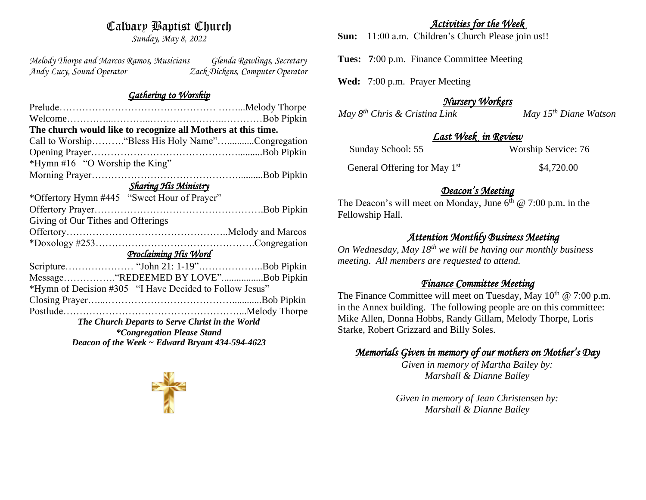# Calvary Baptist Church

*Sunday, May 8, 2022*

*Melody Thorpe and Marcos Ramos, Musicians Glenda Rawlings, Secretary Andy Lucy, Sound Operator Zack Dickens, Computer Operator* 

#### *Gathering to Worship*

| The church would like to recognize all Mothers at this time. |                                                         |
|--------------------------------------------------------------|---------------------------------------------------------|
|                                                              | Call to Worship "Bless His Holy Name"Congregation       |
|                                                              |                                                         |
| *Hymn #16 "O Worship the King"                               |                                                         |
|                                                              |                                                         |
| <b>Sharing His Ministry</b>                                  |                                                         |
| *Offertory Hymn #445 "Sweet Hour of Prayer"                  |                                                         |
|                                                              |                                                         |
| Giving of Our Tithes and Offerings                           |                                                         |
|                                                              |                                                         |
|                                                              |                                                         |
| Proclaiming His Word                                         |                                                         |
|                                                              |                                                         |
|                                                              | Message"REDEEMED BY LOVE"Bob Pipkin                     |
|                                                              | *Hymn of Decision #305 "I Have Decided to Follow Jesus" |
|                                                              |                                                         |
|                                                              |                                                         |
| The Church Departs to Serve Christ in the World              |                                                         |
| <i>*Congregation Please Stand</i>                            |                                                         |
| Deacon of the Week $\sim$ Edward Bryant 434-594-4623         |                                                         |

### *Activities for the Week*

**Sun:** 11:00 a.m. Children's Church Please join us!!

**Tues: 7**:00 p.m. Finance Committee Meeting

**Wed:** 7:00 p.m. Prayer Meeting

## *Nursery Workers*

*May 8<sup>th</sup> Chris & Cristina Link* May 15<sup>th</sup> Diane Watson

## *Last Week in Review*

Sunday School: 55 Worship Service: 76

 General Offering for May 1st \$4,720.00

## *Deacon's Meeting*

The Deacon's will meet on Monday, June  $6<sup>th</sup>$  @ 7:00 p.m. in the Fellowship Hall.

## *Attention Monthly Business Meeting*

*On Wednesday, May 18th we will be having our monthly business meeting. All members are requested to attend.* 

### *Finance Committee Meeting*

The Finance Committee will meet on Tuesday, May  $10^{th} \& 7:00 \text{ p.m.}$ in the Annex building. The following people are on this committee: Mike Allen, Donna Hobbs, Randy Gillam, Melody Thorpe, Loris Starke, Robert Grizzard and Billy Soles.

# *Memorials Given in memory of our mothers on Mother's Day*

*Given in memory of Martha Bailey by: Marshall & Dianne Bailey*

*Given in memory of Jean Christensen by: Marshall & Dianne Bailey*

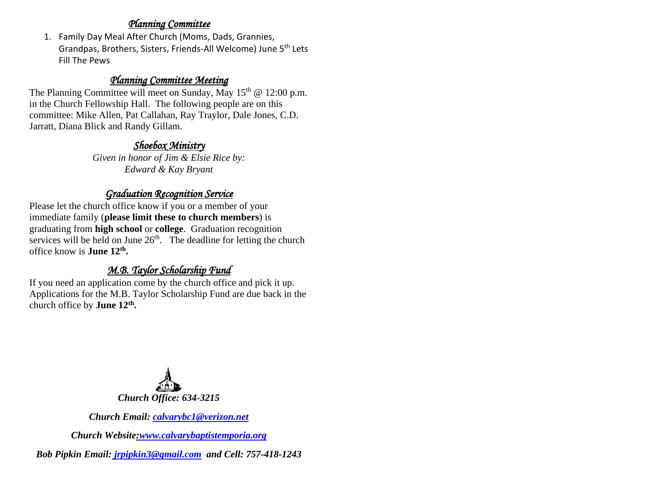#### *Planning Committee*

1. Family Day Meal After Church (Moms, Dads, Grannies, Grandpas, Brothers, Sisters, Friends-All Welcome) June 5th Lets Fill The Pews

## *Planning Committee Meeting*

The Planning Committee will meet on Sunday, May  $15<sup>th</sup>$  @ 12:00 p.m. in the Church Fellowship Hall. The following people are on this committee: Mike Allen, Pat Callahan, Ray Traylor, Dale Jones, C.D. Jarratt, Diana Blick and Randy Gillam.

## *Shoebox Ministry*

*Given in honor of Jim & Elsie Rice by: Edward & Kay Bryant*

## *Graduation Recognition Service*

Please let the church office know if you or a member of your immediate family (**please limit these to church members**) is graduating from **high school** or **college**. Graduation recognition services will be held on June  $26<sup>th</sup>$ . The deadline for letting the church office know is **June 12th .**

# *M.B. Taylor Scholarship Fund*

If you need an application come by the church office and pick it up. Applications for the M.B. Taylor Scholarship Fund are due back in the church office by **June 12th .**



*Church Email: [calvarybc1@verizon.net](mailto:cbcemporiaoffice@gmail.com)*

*Church Website[:www.calvarybaptistemporia.org](http://www.calvarybaptistemporia.org/)*

*Bob Pipkin Email: [jrpipkin3@gmail.com](mailto:jrpipkin3@gmail.com) and Cell: 757-418-1243*